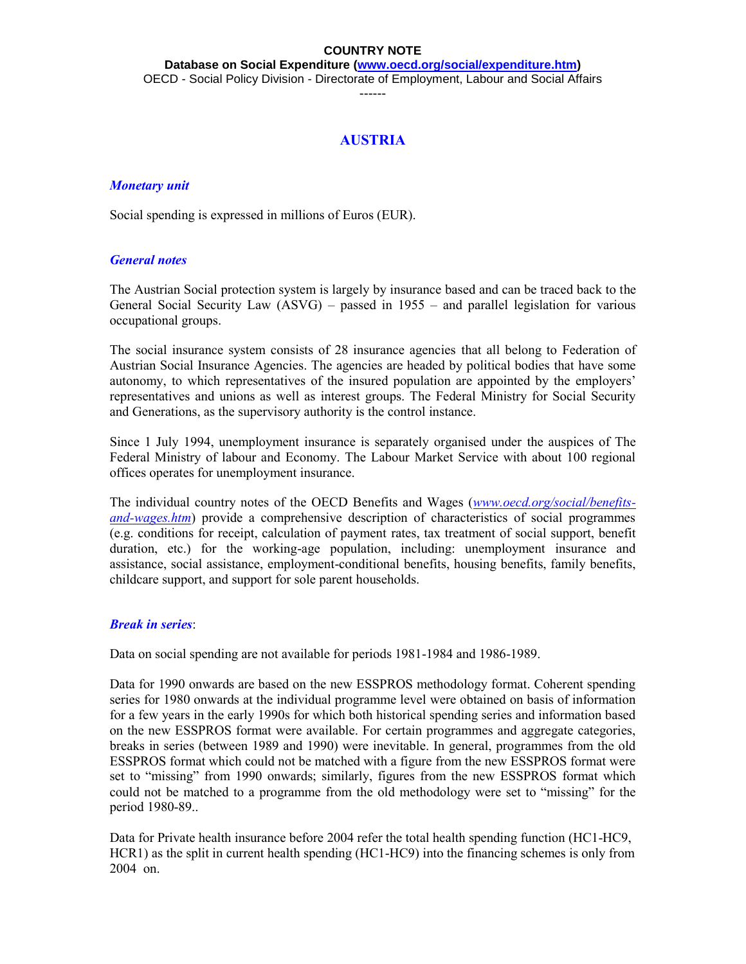**Database on Social Expenditure [\(www.oecd.org/social/expenditure.htm\)](http://www.oecd.org/social/expenditure.htm)** OECD - Social Policy Division - Directorate of Employment, Labour and Social Affairs

------

# **AUSTRIA**

### *Monetary unit*

Social spending is expressed in millions of Euros (EUR).

## *General notes*

The Austrian Social protection system is largely by insurance based and can be traced back to the General Social Security Law (ASVG) – passed in 1955 – and parallel legislation for various occupational groups.

The social insurance system consists of 28 insurance agencies that all belong to Federation of Austrian Social Insurance Agencies. The agencies are headed by political bodies that have some autonomy, to which representatives of the insured population are appointed by the employers' representatives and unions as well as interest groups. The Federal Ministry for Social Security and Generations, as the supervisory authority is the control instance.

Since 1 July 1994, unemployment insurance is separately organised under the auspices of The Federal Ministry of labour and Economy. The Labour Market Service with about 100 regional offices operates for unemployment insurance.

The individual country notes of the OECD Benefits and Wages (*[www.oecd.org/social/benefits](http://www.oecd.org/social/benefits-and-wages.htm)[and-wages.htm](http://www.oecd.org/social/benefits-and-wages.htm)*) provide a comprehensive description of characteristics of social programmes (e.g. conditions for receipt, calculation of payment rates, tax treatment of social support, benefit duration, etc.) for the working-age population, including: unemployment insurance and assistance, social assistance, employment-conditional benefits, housing benefits, family benefits, childcare support, and support for sole parent households.

#### *Break in series*:

Data on social spending are not available for periods 1981-1984 and 1986-1989.

Data for 1990 onwards are based on the new ESSPROS methodology format. Coherent spending series for 1980 onwards at the individual programme level were obtained on basis of information for a few years in the early 1990s for which both historical spending series and information based on the new ESSPROS format were available. For certain programmes and aggregate categories, breaks in series (between 1989 and 1990) were inevitable. In general, programmes from the old ESSPROS format which could not be matched with a figure from the new ESSPROS format were set to "missing" from 1990 onwards; similarly, figures from the new ESSPROS format which could not be matched to a programme from the old methodology were set to "missing" for the period 1980-89..

Data for Private health insurance before 2004 refer the total health spending function (HC1-HC9, HCR1) as the split in current health spending (HC1-HC9) into the financing schemes is only from 2004 on.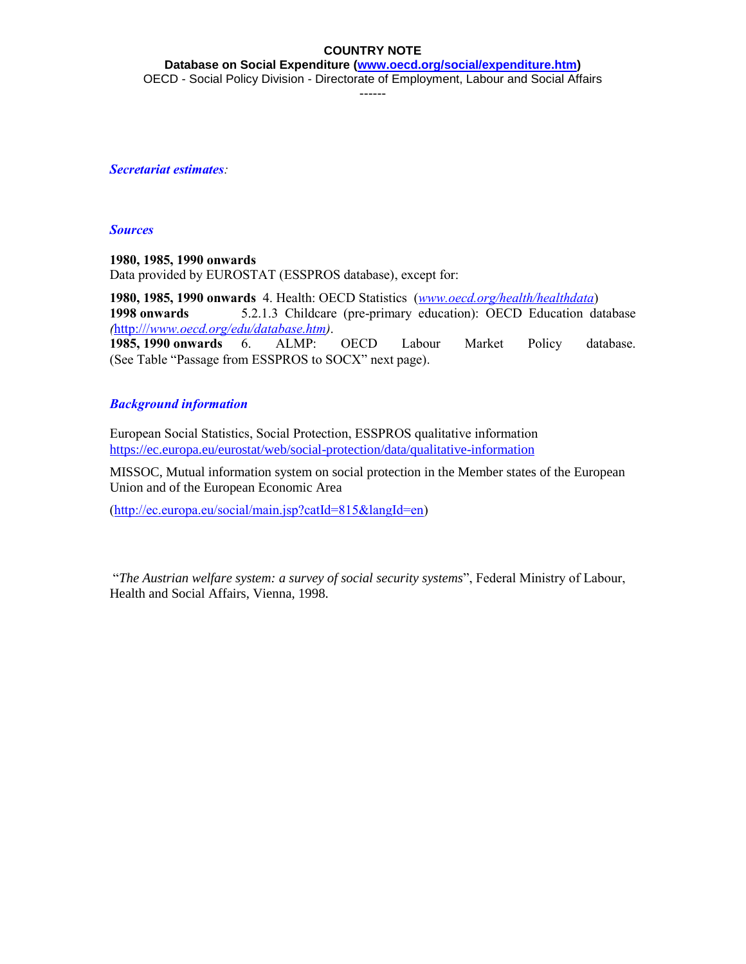**Database on Social Expenditure [\(www.oecd.org/social/expenditure.htm\)](http://www.oecd.org/social/expenditure.htm)** OECD - Social Policy Division - Directorate of Employment, Labour and Social Affairs

------

*Secretariat estimates:* 

### *Sources*

**1980, 1985, 1990 onwards** Data provided by EUROSTAT (ESSPROS database), except for:

**1980, 1985, 1990 onwards** 4. Health: OECD Statistics (*[www.oecd.org/health/healthdata](http://www.oecd.org/health/healthdata)*) **1998 onwards** 5.2.1.3 Childcare (pre-primary education): OECD Education database *(*[http:///](http://)*[www.oecd.org/edu/database.htm\)](http://)*.

**1985, 1990 onwards** 6. ALMP: OECD Labour Market Policy database. (See Table "Passage from ESSPROS to SOCX" next page).

# *Background information*

European Social Statistics, Social Protection, ESSPROS qualitative information <https://ec.europa.eu/eurostat/web/social-protection/data/qualitative-information>

MISSOC, Mutual information system on social protection in the Member states of the European Union and of the European Economic Area

[\(http://ec.europa.eu/social/main.jsp?catId=815&langId=en\)](http://ec.europa.eu/social/main.jsp?catId=815&langId=en)

"*The Austrian welfare system: a survey of social security systems*", Federal Ministry of Labour, Health and Social Affairs, Vienna, 1998.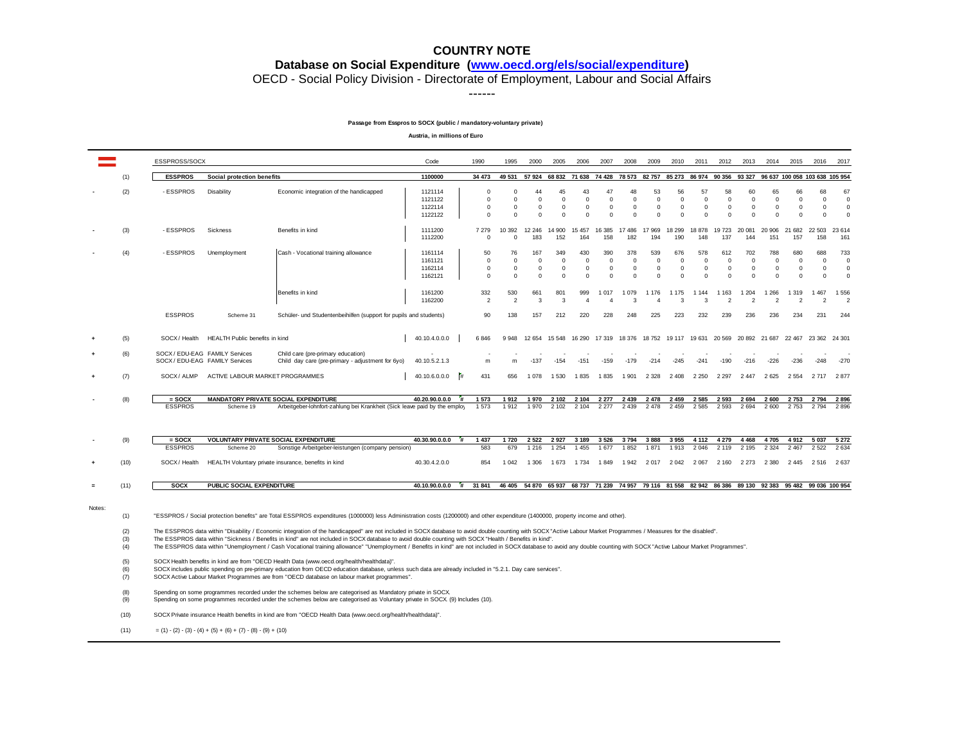**Database on Social Expenditure [\(www.oecd.org/els/social/expenditure\)](http://www.oecd.org/els/social/expenditure)**

OECD - Social Policy Division - Directorate of Employment, Labour and Social Affairs

------

#### **Passage from Esspros to SOCX (public / mandatory-voluntary private)**

**Austria, in millions of Euro**

|        |                   | ESSPROSS/SOCX                                                                                                                                                                                                                                                                                                                                         |                                                                  |                                                                                                                                                                                                                                                                                                                                                                                                                                                                                                                                                                                                            | Code                                     | 1990                                             | 1995                                  | 2000                                                                                                      | 2005                                      | 2006                                 | 2007                                          | 2008                                           | 2009                                          | 2010                                         | 2011                                   | 2012                                      | 2013                                                       | 2014                                          | 2015                                         | 2016                                        | 2017                                           |
|--------|-------------------|-------------------------------------------------------------------------------------------------------------------------------------------------------------------------------------------------------------------------------------------------------------------------------------------------------------------------------------------------------|------------------------------------------------------------------|------------------------------------------------------------------------------------------------------------------------------------------------------------------------------------------------------------------------------------------------------------------------------------------------------------------------------------------------------------------------------------------------------------------------------------------------------------------------------------------------------------------------------------------------------------------------------------------------------------|------------------------------------------|--------------------------------------------------|---------------------------------------|-----------------------------------------------------------------------------------------------------------|-------------------------------------------|--------------------------------------|-----------------------------------------------|------------------------------------------------|-----------------------------------------------|----------------------------------------------|----------------------------------------|-------------------------------------------|------------------------------------------------------------|-----------------------------------------------|----------------------------------------------|---------------------------------------------|------------------------------------------------|
|        | (1)               | <b>ESSPROS</b>                                                                                                                                                                                                                                                                                                                                        | Social protection benefits                                       |                                                                                                                                                                                                                                                                                                                                                                                                                                                                                                                                                                                                            | 1100000                                  | 34 473                                           | 49 531                                |                                                                                                           | 57 924 68 832 71 638 74 428 78 573 82 757 |                                      |                                               |                                                |                                               |                                              |                                        |                                           | 85 273 86 974 90 356 93 327 96 637 100 058 103 638 105 954 |                                               |                                              |                                             |                                                |
|        | (2)               | - ESSPROS                                                                                                                                                                                                                                                                                                                                             | Disability                                                       | Economic integration of the handicapped                                                                                                                                                                                                                                                                                                                                                                                                                                                                                                                                                                    | 1121114<br>1121122<br>1122114<br>1122122 | $\Omega$<br>$^{\circ}$<br>$^{\circ}$<br>$\Omega$ | C<br>$\Omega$<br>$\Omega$<br>$\Omega$ | 44<br>$\mathbf 0$<br>$\mathbf 0$<br>$\Omega$                                                              | 45<br>$\Omega$<br>0<br>0                  | 43<br>0<br>$\mathbf{0}$<br>$\Omega$  | 47<br>$\Omega$<br>$\mathbf 0$<br>$\Omega$     | 48<br>$\Omega$<br>$\mathbf{0}$<br>$\Omega$     | 53<br>$\mathbf 0$<br>$\mathbf 0$<br>$\Omega$  | 56<br>0<br>$\mathbf{0}$<br>$\Omega$          | 57<br>$\Omega$<br>$\Omega$<br>$\Omega$ | 58<br>$\mathbf 0$<br>$\Omega$<br>$\Omega$ | 60<br>$\mathbf 0$<br>$\Omega$<br>$\Omega$                  | 65<br>$^{\circ}$<br>$\mathbf 0$<br>$\Omega$   | 66<br>$\mathbf 0$<br>$\mathbf 0$<br>$\Omega$ | 68<br>$\mathbf{0}$<br>$\Omega$<br>$\Omega$  | 67<br>$\mathbf 0$<br>$\mathbf 0$<br>$^{\circ}$ |
|        | (3)               | - ESSPROS                                                                                                                                                                                                                                                                                                                                             | Sickness                                                         | Benefits in kind                                                                                                                                                                                                                                                                                                                                                                                                                                                                                                                                                                                           | 1111200<br>1112200                       | 7 2 7 9<br>$\mathbf 0$                           | 10 392<br>$\Omega$                    | 12 246<br>183                                                                                             | 14 900<br>152                             | 15 457<br>164                        | 16 385<br>158                                 | 17 486<br>182                                  | 17 969<br>194                                 | 18 299<br>190                                | 18 878<br>148                          | 19723<br>137                              | 20 081<br>144                                              | 20 906<br>151                                 | 21 682<br>157                                | 22 503<br>158                               | 23 614<br>161                                  |
|        | (4)               | - ESSPROS                                                                                                                                                                                                                                                                                                                                             | Unemployment                                                     | Cash - Vocational training allowance                                                                                                                                                                                                                                                                                                                                                                                                                                                                                                                                                                       | 1161114<br>1161121<br>1162114<br>1162121 | 50<br>$\mathbf 0$<br>$\mathbf 0$<br>$\Omega$     | 76<br>0<br>$^{\circ}$<br>$\Omega$     | 167<br>$\mathbf 0$<br>$\mathbf 0$<br>$\Omega$                                                             | 349<br>0<br>0<br>$\Omega$                 | 430<br>0<br>$\mathbf{0}$<br>$\Omega$ | 390<br>$\mathbf 0$<br>$\mathbf 0$<br>$\Omega$ | 378<br>$\mathbf 0$<br>$\mathbf{0}$<br>$\Omega$ | 539<br>$\mathbf 0$<br>$\mathbf 0$<br>$\Omega$ | 676<br>$^{\circ}$<br>$\mathbf 0$<br>$\Omega$ | 578<br>0<br>$\Omega$<br>$\Omega$       | 612<br>$^{\circ}$<br>$\Omega$<br>$\Omega$ | 702<br>$\mathbf 0$<br>$\mathbf 0$<br>$\Omega$              | 788<br>$\mathbf 0$<br>$\mathbf 0$<br>$\Omega$ | 680<br>0<br>0<br>$\Omega$                    | 688<br>$\mathbf{0}$<br>$\Omega$<br>$\Omega$ | 733<br>$\mathbf 0$<br>$\mathbf 0$<br>$\Omega$  |
|        |                   |                                                                                                                                                                                                                                                                                                                                                       |                                                                  | Benefits in kind                                                                                                                                                                                                                                                                                                                                                                                                                                                                                                                                                                                           | 1161200<br>1162200                       | 332<br>$\overline{2}$                            | 530<br>$\overline{2}$                 | 661<br>3                                                                                                  | 801<br>3                                  | 999<br>$\overline{A}$                | 1 0 1 7                                       | 1 0 7 9<br>$\mathbf{R}$                        | 1 1 7 6<br>$\Lambda$                          | 1 1 7 5<br>3                                 | 1 1 4 4<br>3                           | 1 1 6 3<br>$\mathcal{P}$                  | 1 2 0 4<br>$\mathcal{P}$                                   | 1 2 6 6<br>2                                  | 1 3 1 9<br>$\overline{2}$                    | 1 4 6 7<br>$\mathcal{P}$                    | 1556<br>$\overline{\phantom{0}}$               |
|        |                   | <b>ESSPROS</b>                                                                                                                                                                                                                                                                                                                                        | Scheme 31                                                        | Schüler- und Studentenbeihilfen (support for pupils and students)                                                                                                                                                                                                                                                                                                                                                                                                                                                                                                                                          |                                          | 90                                               | 138                                   | 157                                                                                                       | 212                                       | 220                                  | 228                                           | 248                                            | 225                                           | 223                                          | 232                                    | 239                                       | 236                                                        | 236                                           | 234                                          | 231                                         | 244                                            |
|        | (5)               | SOCX / Health                                                                                                                                                                                                                                                                                                                                         | HEALTH Public benefits in kind                                   |                                                                                                                                                                                                                                                                                                                                                                                                                                                                                                                                                                                                            | 40.10.4.0.0.0                            | 6846                                             | 9 9 4 8                               | 12 654                                                                                                    | 15 5 48                                   | 16 290                               | 17 319                                        | 18 376                                         | 18752                                         | 19 117                                       | 19631                                  | 20 569                                    | 20 892 21 687                                              |                                               | 22 467                                       | 23 362                                      | 24 301                                         |
|        | (6)               |                                                                                                                                                                                                                                                                                                                                                       | SOCX / EDU-EAG FAMILY Services<br>SOCX / EDU-EAG FAMILY Services | Child care (pre-primary education)<br>Child day care (pre-primary - adjustment for 6yo)                                                                                                                                                                                                                                                                                                                                                                                                                                                                                                                    | 40.10.5.2.1.3                            | m                                                | m                                     | $-137$                                                                                                    | $-154$                                    | $-151$                               | $-159$                                        | $-179$                                         | $-214$                                        | $-245$                                       | $-241$                                 | $-190$                                    | $-216$                                                     | $-226$                                        | $-236$                                       | $-248$                                      | $-270$                                         |
|        | (7)               | SOCX / ALMP                                                                                                                                                                                                                                                                                                                                           | ACTIVE LABOUR MARKET PROGRAMMES                                  |                                                                                                                                                                                                                                                                                                                                                                                                                                                                                                                                                                                                            | 40.10.6.0.0.0                            | #<br>431                                         | 656                                   | 1 0 7 8                                                                                                   | 1 5 3 0                                   | 1835                                 | 1835                                          | 1 901                                          | 2 3 2 8                                       | 2408                                         | 2 2 5 0                                | 2 2 9 7                                   | 2447                                                       | 2 6 2 5                                       | 2 5 5 4                                      | 2717                                        | 2877                                           |
|        | (8)               | $=$ SOCX<br><b>ESSPROS</b>                                                                                                                                                                                                                                                                                                                            | Scheme 19                                                        | MANDATORY PRIVATE SOCIAL EXPENDITURE<br>Arbeitgeber-lohnfort-zahlung bei Krankheit (Sick leave paid by the employ                                                                                                                                                                                                                                                                                                                                                                                                                                                                                          | 40.20.90.0.0.0                           | 1 573<br>1573                                    | 1912<br>1912                          | 1970<br>1970                                                                                              | 2 1 0 2<br>2 1 0 2                        | 2 1 0 4<br>2 104                     | 2 2 7 7<br>2 2 7 7                            | 2 4 3 9<br>2 4 3 9                             | 2 4 7 8<br>2 4 7 8                            | 2 4 5 9<br>2 4 5 9                           | 2 5 8 5<br>2 5 8 5                     | 2 5 9 3<br>2 5 9 3                        | 2 6 9 4<br>2694                                            | 2 600<br>2 600                                | 2753<br>2753                                 | 2794<br>2 7 9 4                             | 2896<br>2896                                   |
|        | (9)               | $=$ SOCX<br><b>ESSPROS</b>                                                                                                                                                                                                                                                                                                                            | Scheme 20                                                        | <b>VOLUNTARY PRIVATE SOCIAL EXPENDITURE</b><br>Sonstige Arbeitgeber-leistungen (company pension)                                                                                                                                                                                                                                                                                                                                                                                                                                                                                                           | 40.30.90.0.0.0                           | $\ddot{}$<br>1 4 3 7<br>583                      | 1720<br>679                           | 2 5 2 2<br>1 2 1 6                                                                                        | 2927<br>1 2 5 4                           | 3 1 8 9<br>1 4 5 5                   | 3526<br>1677                                  | 3794<br>1852                                   | 3888<br>1871                                  | 3 9 5 5<br>1913                              | 4 1 1 2<br>2 0 4 6                     | 4 2 7 9<br>2 1 1 9                        | 4 4 6 8<br>2 1 9 5                                         | 4705<br>2 3 2 4                               | 4912<br>2 4 6 7                              | 5 0 3 7<br>2 5 2 2                          | 5 2 7 2<br>2 6 3 4                             |
|        | (10)              | SOCX / Health                                                                                                                                                                                                                                                                                                                                         |                                                                  | HEALTH Voluntary private insurance, benefits in kind                                                                                                                                                                                                                                                                                                                                                                                                                                                                                                                                                       | 40.30.4.2.0.0                            | 854                                              | 1 0 4 2                               | 1 306                                                                                                     | 1 673                                     | 1 7 3 4                              | 1849                                          | 1942                                           | 2 017                                         | 2 0 4 2                                      | 2 0 6 7                                | 2 160                                     | 2 2 7 3                                                    | 2 3 8 0                                       | 2 4 4 5                                      | 2 5 1 6                                     | 2637                                           |
| $=$    | (11)              | <b>SOCX</b>                                                                                                                                                                                                                                                                                                                                           | PUBLIC SOCIAL EXPENDITURE                                        |                                                                                                                                                                                                                                                                                                                                                                                                                                                                                                                                                                                                            | 40.10.90.0.0.0                           | #<br>31 841                                      |                                       | 46 405 54 870 65 937 68 737 71 239 74 957 79 116 81 558 82 942 86 386 89 130 92 383 95 482 99 036 100 954 |                                           |                                      |                                               |                                                |                                               |                                              |                                        |                                           |                                                            |                                               |                                              |                                             |                                                |
| Notes: | (1)               |                                                                                                                                                                                                                                                                                                                                                       |                                                                  | "ESSPROS / Social protection benefits" are Total ESSPROS expenditures (1000000) less Administration costs (1200000) and other expenditure (1400000, property income and other).                                                                                                                                                                                                                                                                                                                                                                                                                            |                                          |                                                  |                                       |                                                                                                           |                                           |                                      |                                               |                                                |                                               |                                              |                                        |                                           |                                                            |                                               |                                              |                                             |                                                |
|        | (2)<br>(3)<br>(4) |                                                                                                                                                                                                                                                                                                                                                       |                                                                  | The ESSPROS data within "Disability / Economic integration of the handicapped" are not included in SOCX database to avoid double counting with SOCX "Active Labour Market Programmes / Measures for the disabled".<br>The ESSPROS data within "Sickness / Benefits in kind" are not included in SOCX database to avoid double counting with SOCX "Health / Benefits in kind".<br>The ESSPROS data within "Unemployment / Cash Vocational training allowance" "Unemployment / Benefits in kind" are not included in SOCX database to avoid any double counting with SOCX "Active Labour Market Programmes". |                                          |                                                  |                                       |                                                                                                           |                                           |                                      |                                               |                                                |                                               |                                              |                                        |                                           |                                                            |                                               |                                              |                                             |                                                |
|        | (5)<br>(6)<br>(7) | SOCX Health benefits in kind are from "OECD Health Data (www.oecd.org/health/healthdata)".<br>SOCX includes public spending on pre-primary education from OECD education database, unless such data are already included in "5.2.1. Day care services".<br>SOCX Active Labour Market Programmes are from "OECD database on labour market programmes". |                                                                  |                                                                                                                                                                                                                                                                                                                                                                                                                                                                                                                                                                                                            |                                          |                                                  |                                       |                                                                                                           |                                           |                                      |                                               |                                                |                                               |                                              |                                        |                                           |                                                            |                                               |                                              |                                             |                                                |
|        | (8)<br>(9)        | Spending on some programmes recorded under the schemes below are categorised as Mandatory private in SOCX<br>Spending on some programmes recorded under the schemes below are categorised as Voluntary private in SOCX (9) Includes (10).                                                                                                             |                                                                  |                                                                                                                                                                                                                                                                                                                                                                                                                                                                                                                                                                                                            |                                          |                                                  |                                       |                                                                                                           |                                           |                                      |                                               |                                                |                                               |                                              |                                        |                                           |                                                            |                                               |                                              |                                             |                                                |
|        | (10)              |                                                                                                                                                                                                                                                                                                                                                       |                                                                  | SOCX Private insurance Health benefits in kind are from "OECD Health Data (www.oecd.org/health/healthdata)".                                                                                                                                                                                                                                                                                                                                                                                                                                                                                               |                                          |                                                  |                                       |                                                                                                           |                                           |                                      |                                               |                                                |                                               |                                              |                                        |                                           |                                                            |                                               |                                              |                                             |                                                |
|        | (11)              |                                                                                                                                                                                                                                                                                                                                                       | $=(1)-(2)-(3)-(4)+(5)+(6)+(7)-(8)-(9)+(10)$                      |                                                                                                                                                                                                                                                                                                                                                                                                                                                                                                                                                                                                            |                                          |                                                  |                                       |                                                                                                           |                                           |                                      |                                               |                                                |                                               |                                              |                                        |                                           |                                                            |                                               |                                              |                                             |                                                |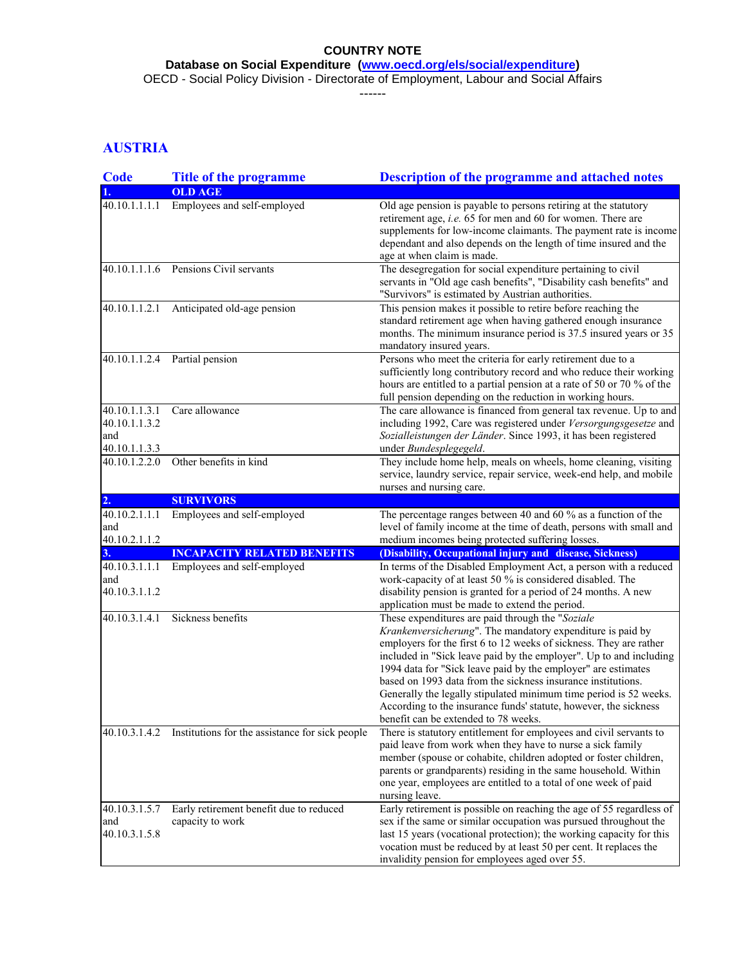**Database on Social Expenditure [\(www.oecd.org/els/social/expenditure\)](http://www.oecd.org/els/social/expenditure)**

OECD - Social Policy Division - Directorate of Employment, Labour and Social Affairs

------

# **AUSTRIA**

| Code                                                   | <b>Title of the programme</b>                                 | Description of the programme and attached notes                                                                                                                                                                                                                                                                                                                                                                                                                                                                                                                              |
|--------------------------------------------------------|---------------------------------------------------------------|------------------------------------------------------------------------------------------------------------------------------------------------------------------------------------------------------------------------------------------------------------------------------------------------------------------------------------------------------------------------------------------------------------------------------------------------------------------------------------------------------------------------------------------------------------------------------|
|                                                        | <b>OLD AGE</b>                                                |                                                                                                                                                                                                                                                                                                                                                                                                                                                                                                                                                                              |
| 40.10.1.1.1.1                                          | Employees and self-employed                                   | Old age pension is payable to persons retiring at the statutory<br>retirement age, i.e. 65 for men and 60 for women. There are<br>supplements for low-income claimants. The payment rate is income<br>dependant and also depends on the length of time insured and the<br>age at when claim is made.                                                                                                                                                                                                                                                                         |
|                                                        | 40.10.1.1.1.6 Pensions Civil servants                         | The desegregation for social expenditure pertaining to civil<br>servants in "Old age cash benefits", "Disability cash benefits" and<br>"Survivors" is estimated by Austrian authorities.                                                                                                                                                                                                                                                                                                                                                                                     |
|                                                        | 40.10.1.1.2.1 Anticipated old-age pension                     | This pension makes it possible to retire before reaching the<br>standard retirement age when having gathered enough insurance<br>months. The minimum insurance period is 37.5 insured years or 35<br>mandatory insured years.                                                                                                                                                                                                                                                                                                                                                |
| 40.10.1.1.2.4                                          | Partial pension                                               | Persons who meet the criteria for early retirement due to a<br>sufficiently long contributory record and who reduce their working<br>hours are entitled to a partial pension at a rate of 50 or 70 % of the<br>full pension depending on the reduction in working hours.                                                                                                                                                                                                                                                                                                     |
| 40.10.1.1.3.1<br>40.10.1.1.3.2<br>and<br>40.10.1.1.3.3 | Care allowance                                                | The care allowance is financed from general tax revenue. Up to and<br>including 1992, Care was registered under Versorgungsgesetze and<br>Sozialleistungen der Länder. Since 1993, it has been registered<br>under Bundesplegegeld.                                                                                                                                                                                                                                                                                                                                          |
| 40.10.1.2.2.0                                          | Other benefits in kind                                        | They include home help, meals on wheels, home cleaning, visiting<br>service, laundry service, repair service, week-end help, and mobile<br>nurses and nursing care.                                                                                                                                                                                                                                                                                                                                                                                                          |
| 2.                                                     | <b>SURVIVORS</b>                                              |                                                                                                                                                                                                                                                                                                                                                                                                                                                                                                                                                                              |
| 40.10.2.1.1.1<br>and<br>40.10.2.1.1.2                  | Employees and self-employed                                   | The percentage ranges between 40 and 60 $\%$ as a function of the<br>level of family income at the time of death, persons with small and<br>medium incomes being protected suffering losses.                                                                                                                                                                                                                                                                                                                                                                                 |
| 3.                                                     | <b>INCAPACITY RELATED BENEFITS</b>                            | (Disability, Occupational injury and disease, Sickness)                                                                                                                                                                                                                                                                                                                                                                                                                                                                                                                      |
| 40.10.3.1.1.1<br>and<br>40.10.3.1.1.2                  | Employees and self-employed                                   | In terms of the Disabled Employment Act, a person with a reduced<br>work-capacity of at least 50 % is considered disabled. The<br>disability pension is granted for a period of 24 months. A new<br>application must be made to extend the period.                                                                                                                                                                                                                                                                                                                           |
| 40.10.3.1.4.1                                          | Sickness benefits                                             | These expenditures are paid through the "Soziale<br>Krankenversicherung". The mandatory expenditure is paid by<br>employers for the first 6 to 12 weeks of sickness. They are rather<br>included in "Sick leave paid by the employer". Up to and including<br>1994 data for "Sick leave paid by the employer" are estimates<br>based on 1993 data from the sickness insurance institutions.<br>Generally the legally stipulated minimum time period is 52 weeks.<br>According to the insurance funds' statute, however, the sickness<br>benefit can be extended to 78 weeks. |
|                                                        | 40.10.3.1.4.2 Institutions for the assistance for sick people | There is statutory entitlement for employees and civil servants to<br>paid leave from work when they have to nurse a sick family<br>member (spouse or cohabite, children adopted or foster children,<br>parents or grandparents) residing in the same household. Within<br>one year, employees are entitled to a total of one week of paid<br>nursing leave.                                                                                                                                                                                                                 |
| 40.10.3.1.5.7<br>and<br>40.10.3.1.5.8                  | Early retirement benefit due to reduced<br>capacity to work   | Early retirement is possible on reaching the age of 55 regardless of<br>sex if the same or similar occupation was pursued throughout the<br>last 15 years (vocational protection); the working capacity for this<br>vocation must be reduced by at least 50 per cent. It replaces the<br>invalidity pension for employees aged over 55.                                                                                                                                                                                                                                      |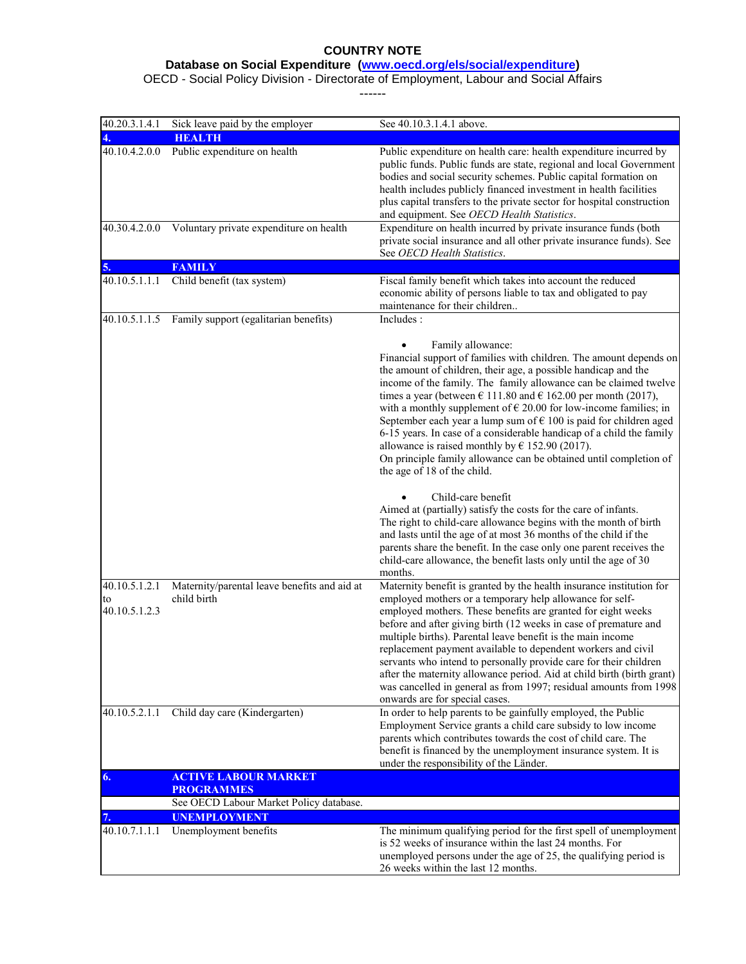#### **Database on Social Expenditure [\(www.oecd.org/els/social/expenditure\)](http://www.oecd.org/els/social/expenditure)**

OECD - Social Policy Division - Directorate of Employment, Labour and Social Affairs

------

| 40.20.3.1.4.1                        | Sick leave paid by the employer                                | See 40.10.3.1.4.1 above.                                                                                                                                                                                                                                                                                                                                                                                                                                                                                                                                                                                                                                                                                  |
|--------------------------------------|----------------------------------------------------------------|-----------------------------------------------------------------------------------------------------------------------------------------------------------------------------------------------------------------------------------------------------------------------------------------------------------------------------------------------------------------------------------------------------------------------------------------------------------------------------------------------------------------------------------------------------------------------------------------------------------------------------------------------------------------------------------------------------------|
|                                      | <b>HEALTH</b>                                                  |                                                                                                                                                                                                                                                                                                                                                                                                                                                                                                                                                                                                                                                                                                           |
| 40.10.4.2.0.0                        | Public expenditure on health                                   | Public expenditure on health care: health expenditure incurred by<br>public funds. Public funds are state, regional and local Government<br>bodies and social security schemes. Public capital formation on<br>health includes publicly financed investment in health facilities<br>plus capital transfers to the private sector for hospital construction<br>and equipment. See OECD Health Statistics.                                                                                                                                                                                                                                                                                                  |
| 40.30.4.2.0.0                        | Voluntary private expenditure on health                        | Expenditure on health incurred by private insurance funds (both<br>private social insurance and all other private insurance funds). See<br>See OECD Health Statistics.                                                                                                                                                                                                                                                                                                                                                                                                                                                                                                                                    |
| 5.                                   | <b>FAMILY</b>                                                  |                                                                                                                                                                                                                                                                                                                                                                                                                                                                                                                                                                                                                                                                                                           |
| 40.10.5.1.1.1                        | Child benefit (tax system)                                     | Fiscal family benefit which takes into account the reduced<br>economic ability of persons liable to tax and obligated to pay<br>maintenance for their children                                                                                                                                                                                                                                                                                                                                                                                                                                                                                                                                            |
| 40.10.5.1.1.5                        | Family support (egalitarian benefits)                          | Includes:                                                                                                                                                                                                                                                                                                                                                                                                                                                                                                                                                                                                                                                                                                 |
|                                      |                                                                | Family allowance:<br>Financial support of families with children. The amount depends on<br>the amount of children, their age, a possible handicap and the<br>income of the family. The family allowance can be claimed twelve<br>times a year (between $\epsilon$ 111.80 and $\epsilon$ 162.00 per month (2017),<br>with a monthly supplement of $\in 20.00$ for low-income families; in<br>September each year a lump sum of $\epsilon$ 100 is paid for children aged<br>6-15 years. In case of a considerable handicap of a child the family<br>allowance is raised monthly by $\in$ 152.90 (2017).<br>On principle family allowance can be obtained until completion of<br>the age of 18 of the child. |
|                                      |                                                                | Child-care benefit<br>Aimed at (partially) satisfy the costs for the care of infants.<br>The right to child-care allowance begins with the month of birth<br>and lasts until the age of at most 36 months of the child if the<br>parents share the benefit. In the case only one parent receives the<br>child-care allowance, the benefit lasts only until the age of 30<br>months.                                                                                                                                                                                                                                                                                                                       |
| 40.10.5.1.2.1<br>to<br>40.10.5.1.2.3 | Maternity/parental leave benefits and aid at<br>child birth    | Maternity benefit is granted by the health insurance institution for<br>employed mothers or a temporary help allowance for self-<br>employed mothers. These benefits are granted for eight weeks<br>before and after giving birth (12 weeks in case of premature and<br>multiple births). Parental leave benefit is the main income<br>replacement payment available to dependent workers and civil<br>servants who intend to personally provide care for their children<br>after the maternity allowance period. Aid at child birth (birth grant)<br>was cancelled in general as from 1997; residual amounts from 1998<br>onwards are for special cases.                                                 |
| 40.10.5.2.1.1                        | Child day care (Kindergarten)                                  | In order to help parents to be gainfully employed, the Public<br>Employment Service grants a child care subsidy to low income<br>parents which contributes towards the cost of child care. The<br>benefit is financed by the unemployment insurance system. It is<br>under the responsibility of the Länder.                                                                                                                                                                                                                                                                                                                                                                                              |
| 6.                                   | <b>ACTIVE LABOUR MARKET</b>                                    |                                                                                                                                                                                                                                                                                                                                                                                                                                                                                                                                                                                                                                                                                                           |
|                                      | <b>PROGRAMMES</b>                                              |                                                                                                                                                                                                                                                                                                                                                                                                                                                                                                                                                                                                                                                                                                           |
|                                      | See OECD Labour Market Policy database.<br><b>UNEMPLOYMENT</b> |                                                                                                                                                                                                                                                                                                                                                                                                                                                                                                                                                                                                                                                                                                           |
| 7.<br>40.10.7.1.1.1                  | Unemployment benefits                                          | The minimum qualifying period for the first spell of unemployment<br>is 52 weeks of insurance within the last 24 months. For<br>unemployed persons under the age of 25, the qualifying period is<br>26 weeks within the last 12 months.                                                                                                                                                                                                                                                                                                                                                                                                                                                                   |